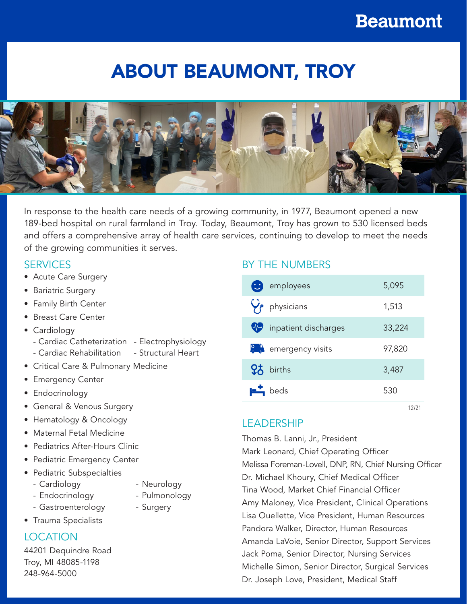# ABOUT BEAUMONT, TROY



In response to the health care needs of a growing community, in 1977, Beaumont opened a new 189-bed hospital on rural farmland in Troy. Today, Beaumont, Troy has grown to 530 licensed beds and offers a comprehensive array of health care services, continuing to develop to meet the needs of the growing communities it serves.

## **SERVICES**

- Acute Care Surgery
- Bariatric Surgery
- Family Birth Center
- Breast Care Center
- Cardiology
	- Cardiac Catheterization Electrophysiology
	- Cardiac Rehabilitation Structural Heart
- Critical Care & Pulmonary Medicine
- Emergency Center
- Endocrinology
- General & Venous Surgery
- Hematology & Oncology
- Maternal Fetal Medicine
- Pediatrics After-Hours Clinic
- Pediatric Emergency Center
- Pediatric Subspecialties
	- Cardiology
- Neurology
- Endocrinology

• Trauma Specialists

- Pulmonology
- Gastroenterology
- Surgery

## **LOCATION**

44201 Dequindre Road Troy, MI 48085-1198 248-964-5000

# BY THE NUMBERS

| 5,095  |
|--------|
| 1,513  |
| 33,224 |
| 97,820 |
| 3,487  |
| 530    |
|        |

12/21

## LEADERSHIP

Thomas B. Lanni, Jr., President

Mark Leonard, Chief Operating Officer Melissa Foreman-Lovell, DNP, RN, Chief Nursing Officer Dr. Michael Khoury, Chief Medical Officer Tina Wood, Market Chief Financial Officer Amy Maloney, Vice President, Clinical Operations Lisa Ouellette, Vice President, Human Resources Pandora Walker, Director, Human Resources Amanda LaVoie, Senior Director, Support Services Jack Poma, Senior Director, Nursing Services Michelle Simon, Senior Director, Surgical Services Dr. Joseph Love, President, Medical Staff